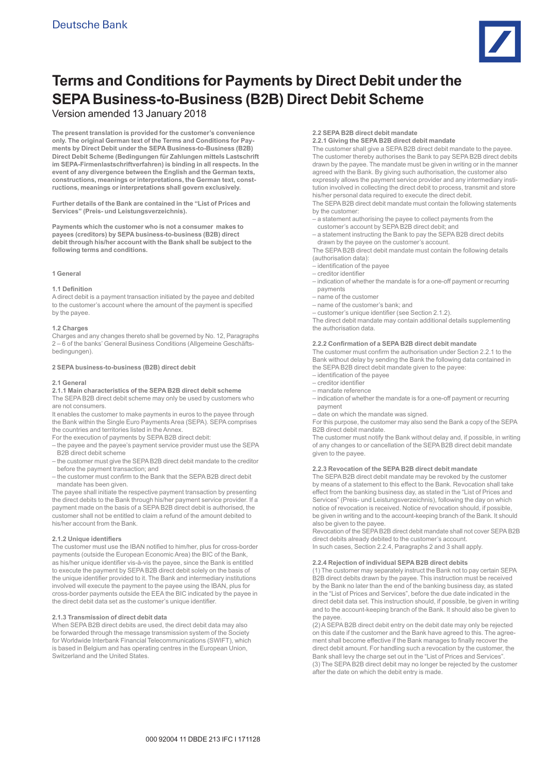

# **Terms and Conditions for Payments by Direct Debit under the SEPA Business-to-Business (B2B) Direct Debit Scheme**

# Version amended 13 January 2018

**The present translation is provided for the customer's convenience only. The original German text of the Terms and Conditions for Payments by Direct Debit under the SEPA Business-to-Business (B2B) Direct Debit Scheme (Bedingungen für Zahlungen mittels Lastschrift im SEPA-Firmenlastschriftverfahren) is binding in all respects. In the event of any divergence between the English and the German texts, constructions, meanings or interpretations, the German text, constructions, meanings or interpretations shall govern exclusively.** 

**Further details of the Bank are contained in the "List of Prices and Services" (Preis- und Leistungsverzeichnis).**

**Payments which the customer who is not a consumer makes to payees (creditors) by SEPA business-to-business (B2B) direct debit through his/her account with the Bank shall be subject to the following terms and conditions.** 

#### **1 General**

#### **1.1 Definition**

A direct debit is a payment transaction initiated by the payee and debited to the customer's account where the amount of the payment is specified by the payee.

#### **1.2 Charges**

Charges and any changes thereto shall be governed by No. 12, Paragraphs 2 – 6 of the banks' General Business Conditions (Allgemeine Geschäftsbedingungen).

#### **2 SEPA business-to-business (B2B) direct debit**

#### **2.1 General**

**2.1.1 Main characteristics of the SEPA B2B direct debit scheme**  The SEPA B2B direct debit scheme may only be used by customers who are not consumers.

It enables the customer to make payments in euros to the payee through the Bank within the Single Euro Payments Area (SEPA). SEPA comprises the countries and territories listed in the Annex.

For the execution of payments by SEPA B2B direct debit:

– the payee and the payee's payment service provider must use the SEPA B2B direct debit scheme

- the customer must give the SEPA B2B direct debit mandate to the creditor before the payment transaction; and
- the customer must confirm to the Bank that the SEPA B2B direct debit mandate has been given.

The payee shall initiate the respective payment transaction by presenting the direct debits to the Bank through his/her payment service provider. If a payment made on the basis of a SEPA B2B direct debit is authorised, the customer shall not be entitled to claim a refund of the amount debited to his/her account from the Bank.

#### **2.1.2 Unique identifiers**

The customer must use the IBAN notified to him/her, plus for cross-border payments (outside the European Economic Area) the BIC of the Bank, as his/her unique identifier vis-à-vis the payee, since the Bank is entitled to execute the payment by SEPA B2B direct debit solely on the basis of the unique identifier provided to it. The Bank and intermediary institutions involved will execute the payment to the payee using the IBAN, plus for cross-border payments outside the EEA the BIC indicated by the payee in the direct debit data set as the customer's unique identifier.

#### **2.1.3 Transmission of direct debit data**

When SEPA B2B direct debits are used, the direct debit data may also be forwarded through the message transmission system of the Society for Worldwide Interbank Financial Telecommunications (SWIFT), which is based in Belgium and has operating centres in the European Union, Switzerland and the United States.

#### **2.2 SEPA B2B direct debit mandate**

**2.2.1 Giving the SEPA B2B direct debit mandate** 

The customer shall give a SEPA B2B direct debit mandate to the payee. The customer thereby authorises the Bank to pay SEPA B2B direct debits drawn by the payee. The mandate must be given in writing or in the manner agreed with the Bank. By giving such authorisation, the customer also expressly allows the payment service provider and any intermediary institution involved in collecting the direct debit to process, transmit and store his/her personal data required to execute the direct debit.

The SEPA B2B direct debit mandate must contain the following statements by the customer:

– a statement authorising the payee to collect payments from the

- customer's account by SEPA B2B direct debit; and – a statement instructing the Bank to pay the SEPA B2B direct debits
- drawn by the payee on the customer's account.

The SEPA B2B direct debit mandate must contain the following details (authorisation data):

- identification of the payee
- creditor identifier
- indication of whether the mandate is for a one-off payment or recurring payments
- name of the customer
- name of the customer's bank; and
- customer's unique identifier (see Section 2.1.2).

The direct debit mandate may contain additional details supplementing the authorisation data.

#### **2.2.2 Confirmation of a SEPA B2B direct debit mandate**

The customer must confirm the authorisation under Section 2.2.1 to the Bank without delay by sending the Bank the following data contained in the SEPA B2B direct debit mandate given to the payee:

- identification of the payee
- creditor identifier
- mandate reference
- indication of whether the mandate is for a one-off payment or recurring payment
- date on which the mandate was signed.

For this purpose, the customer may also send the Bank a copy of the SEPA B2B direct debit mandate.

The customer must notify the Bank without delay and, if possible, in writing of any changes to or cancellation of the SEPA B2B direct debit mandate given to the payee.

#### **2.2.3 Revocation of the SEPA B2B direct debit mandate**

The SEPA B2B direct debit mandate may be revoked by the customer by means of a statement to this effect to the Bank. Revocation shall take effect from the banking business day, as stated in the "List of Prices and Services" (Preis- und Leistungsverzeichnis), following the day on which notice of revocation is received. Notice of revocation should, if possible, be given in writing and to the account-keeping branch of the Bank. It should also be given to the payee.

Revocation of the SEPA B2B direct debit mandate shall not cover SEPA B2B direct debits already debited to the customer's account. In such cases, Section 2.2.4, Paragraphs 2 and 3 shall apply.

#### **2.2.4 Rejection of individual SEPA B2B direct debits**

(1) The customer may separately instruct the Bank not to pay certain SEPA B2B direct debits drawn by the payee. This instruction must be received by the Bank no later than the end of the banking business day, as stated in the "List of Prices and Services", before the due date indicated in the direct debit data set. This instruction should, if possible, be given in writing and to the account-keeping branch of the Bank. It should also be given to the payee.

(2) A SEPA B2B direct debit entry on the debit date may only be rejected on this date if the customer and the Bank have agreed to this. The agreement shall become effective if the Bank manages to finally recover the direct debit amount. For handling such a revocation by the customer, the Bank shall levy the charge set out in the "List of Prices and Services". (3) The SEPA B2B direct debit may no longer be rejected by the customer after the date on which the debit entry is made.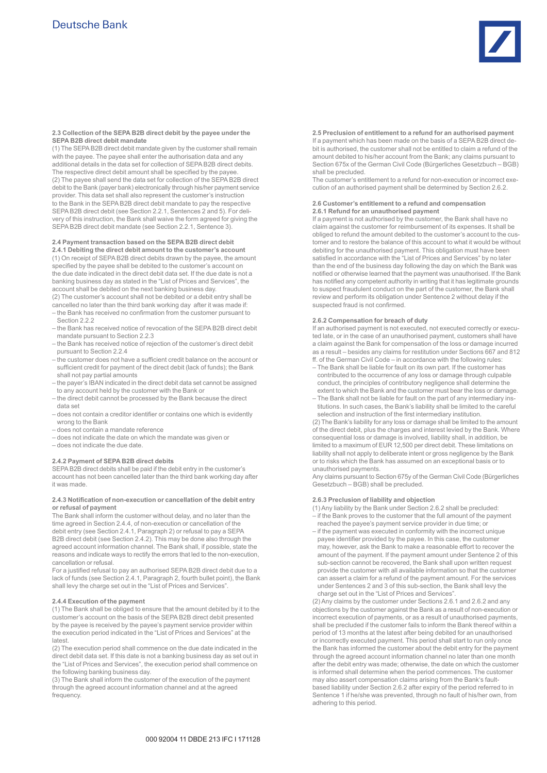

**2.3 Collection of the SEPA B2B direct debit by the payee under the SEPA B2B direct debit mandate** 

(1) The SEPA B2B direct debit mandate given by the customer shall remain with the payee. The payee shall enter the authorisation data and any additional details in the data set for collection of SEPA B2B direct debits. The respective direct debit amount shall be specified by the payee. (2) The payee shall send the data set for collection of the SEPA B2B direct debit to the Bank (payer bank) electronically through his/her payment service provider. This data set shall also represent the customer's instruction to the Bank in the SEPA B2B direct debit mandate to pay the respective SEPA B2B direct debit (see Section 2.2.1, Sentences 2 and 5). For delivery of this instruction, the Bank shall waive the form agreed for giving the SEPA B2B direct debit mandate (see Section 2.2.1, Sentence 3).

#### **2.4 Payment transaction based on the SEPA B2B direct debit**

**2.4.1 Debiting the direct debit amount to the customer's account**  (1) On receipt of SEPA B2B direct debits drawn by the payee, the amount specified by the payee shall be debited to the customer's account on the due date indicated in the direct debit data set. If the due date is not a banking business day as stated in the "List of Prices and Services", the account shall be debited on the next banking business day.

(2) The customer's account shall not be debited or a debit entry shall be cancelled no later than the third bank working day after it was made if: – the Bank has received no confirmation from the customer pursuant to Section 2.2.2

- the Bank has received notice of revocation of the SEPA B2B direct debit mandate pursuant to Section 2.2.3
- the Bank has received notice of rejection of the customer's direct debit pursuant to Section 2.2.4
- the customer does not have a sufficient credit balance on the account or sufficient credit for payment of the direct debit (lack of funds); the Bank shall not pay partial amounts
- the payer's IBAN indicated in the direct debit data set cannot be assigned to any account held by the customer with the Bank or
- the direct debit cannot be processed by the Bank because the direct data set
- does not contain a creditor identifier or contains one which is evidently wrong to the Bank
- does not contain a mandate reference
- does not indicate the date on which the mandate was given or
- does not indicate the due date.

#### **2.4.2 Payment of SEPA B2B direct debits**

SEPA B2B direct debits shall be paid if the debit entry in the customer's account has not been cancelled later than the third bank working day after it was made.

#### **2.4.3 Notification of non-execution or cancellation of the debit entry or refusal of payment**

The Bank shall inform the customer without delay, and no later than the time agreed in Section 2.4.4, of non-execution or cancellation of the debit entry (see Section 2.4.1, Paragraph 2) or refusal to pay a SEPA B2B direct debit (see Section 2.4.2). This may be done also through the agreed account information channel. The Bank shall, if possible, state the reasons and indicate ways to rectify the errors that led to the non-execution, cancellation or refusal.

For a justified refusal to pay an authorised SEPA B2B direct debit due to a lack of funds (see Section 2.4.1, Paragraph 2, fourth bullet point), the Bank shall levy the charge set out in the "List of Prices and Services".

## **2.4.4 Execution of the payment**

(1) The Bank shall be obliged to ensure that the amount debited by it to the customer's account on the basis of the SEPA B2B direct debit presented by the payee is received by the payee's payment service provider within the execution period indicated in the "List of Prices and Services" at the latest.

(2) The execution period shall commence on the due date indicated in the direct debit data set. If this date is not a banking business day as set out in the "List of Prices and Services", the execution period shall commence on the following banking business day.

(3) The Bank shall inform the customer of the execution of the payment through the agreed account information channel and at the agreed frequency.

**2.5 Preclusion of entitlement to a refund for an authorised payment** If a payment which has been made on the basis of a SEPA B2B direct debit is authorised, the customer shall not be entitled to claim a refund of the amount debited to his/her account from the Bank; any claims pursuant to Section 675x of the German Civil Code (Bürgerliches Gesetzbuch – BGB) shall be precluded.

The customer's entitlement to a refund for non-execution or incorrect execution of an authorised payment shall be determined by Section 2.6.2.

#### **2.6 Customer's entitlement to a refund and compensation 2.6.1 Refund for an unauthorised payment**

If a payment is not authorised by the customer, the Bank shall have no claim against the customer for reimbursement of its expenses. It shall be obliged to refund the amount debited to the customer's account to the customer and to restore the balance of this account to what it would be without debiting for the unauthorised payment. This obligation must have been satisfied in accordance with the "List of Prices and Services" by no later than the end of the business day following the day on which the Bank was notified or otherwise learned that the payment was unauthorised. If the Bank has notified any competent authority in writing that it has legitimate grounds to suspect fraudulent conduct on the part of the customer, the Bank shall review and perform its obligation under Sentence 2 without delay if the suspected fraud is not confirmed.

#### **2.6.2 Compensation for breach of duty**

If an authorised payment is not executed, not executed correctly or executed late, or in the case of an unauthorised payment, customers shall have a claim against the Bank for compensation of the loss or damage incurred as a result – besides any claims for restitution under Sections 667 and 812 ff. of the German Civil Code – in accordance with the following rules:

- The Bank shall be liable for fault on its own part. If the customer has contributed to the occurrence of any loss or damage through culpable conduct, the principles of contributory negligence shall determine the extent to which the Bank and the customer must bear the loss or damage.
- The Bank shall not be liable for fault on the part of any intermediary institutions. In such cases, the Bank's liability shall be limited to the careful selection and instruction of the first intermediary institution.

(2) The Bank's liability for any loss or damage shall be limited to the amount of the direct debit, plus the charges and interest levied by the Bank. Where consequential loss or damage is involved, liability shall, in addition, be limited to a maximum of EUR 12,500 per direct debit. These limitations on liability shall not apply to deliberate intent or gross negligence by the Bank or to risks which the Bank has assumed on an exceptional basis or to unauthorised payments.

Any claims pursuant to Section 675y of the German Civil Code (Bürgerliches Gesetzbuch – BGB) shall be precluded.

#### **2.6.3 Preclusion of liability and objection**

- (1) Any liability by the Bank under Section 2.6.2 shall be precluded: – if the Bank proves to the customer that the full amount of the payment
- reached the payee's payment service provider in due time; or – if the payment was executed in conformity with the incorrect unique
- payee identifier provided by the payee. In this case, the customer may, however, ask the Bank to make a reasonable effort to recover the amount of the payment. If the payment amount under Sentence 2 of this sub-section cannot be recovered, the Bank shall upon written request provide the customer with all available information so that the customer can assert a claim for a refund of the payment amount. For the services under Sentences 2 and 3 of this sub-section, the Bank shall levy the charge set out in the "List of Prices and Services"

(2) Any claims by the customer under Sections 2.6.1 and 2.6.2 and any objections by the customer against the Bank as a result of non-execution or incorrect execution of payments, or as a result of unauthorised payments, shall be precluded if the customer fails to inform the Bank thereof within a period of 13 months at the latest after being debited for an unauthorised or incorrectly executed payment. This period shall start to run only once the Bank has informed the customer about the debit entry for the payment through the agreed account information channel no later than one month after the debit entry was made; otherwise, the date on which the customer is informed shall determine when the period commences. The customer may also assert compensation claims arising from the Bank's faultbased liability under Section 2.6.2 after expiry of the period referred to in Sentence 1 if he/she was prevented, through no fault of his/her own, from adhering to this period.